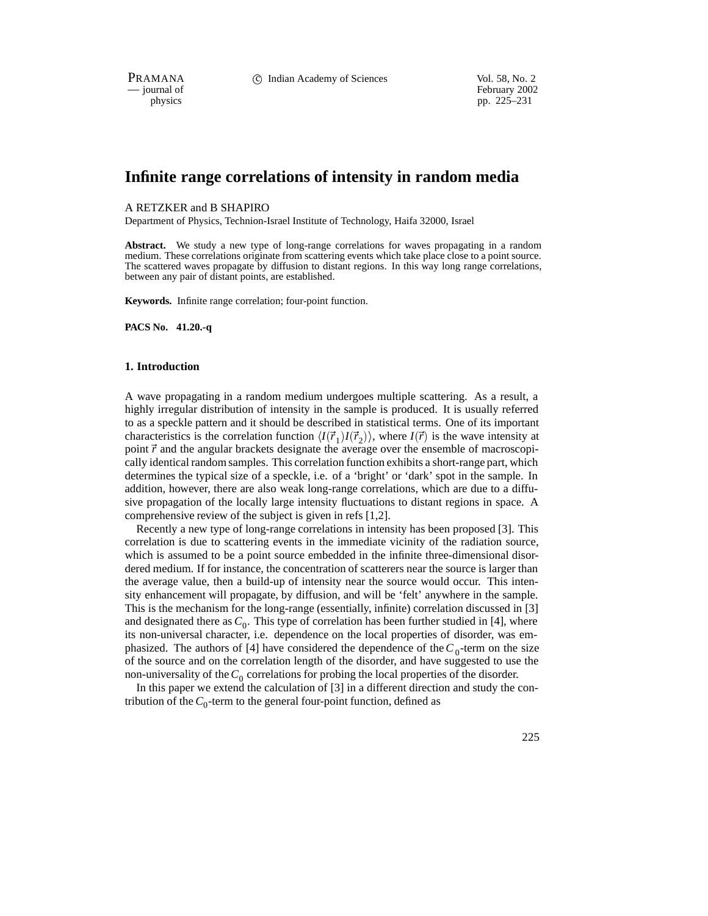PRAMANA 
<sup>C</sup> Indian Academy of Sciences Vol. 58, No. 2<br>
— iournal of February 2002

physics<br>
pp. 225–231<br>
pp. 225–231 pp. 225–231

# **Infinite range correlations of intensity in random media**

#### A RETZKER and B SHAPIRO

Department of Physics, Technion-Israel Institute of Technology, Haifa 32000, Israel

**Abstract.** We study a new type of long-range correlations for waves propagating in a random medium. These correlations originate from scattering events which take place close to a point source. The scattered waves propagate by diffusion to distant regions. In this way long range correlations, between any pair of distant points, are established.

**Keywords.** Infinite range correlation; four-point function.

**PACS No. 41.20.-q**

#### **1. Introduction**

A wave propagating in a random medium undergoes multiple scattering. As a result, a highly irregular distribution of intensity in the sample is produced. It is usually referred to as a speckle pattern and it should be described in statistical terms. One of its important characteristics is the correlation function  $\langle I(\vec{r}_1)I(\vec{r}_2)\rangle$ , where  $I(\vec{r})$  is the wave intensity at point  $\vec{r}$  and the angular brackets designate the average over the ensemble of macroscopically identical random samples. This correlation function exhibits a short-range part, which determines the typical size of a speckle, i.e. of a 'bright' or 'dark' spot in the sample. In addition, however, there are also weak long-range correlations, which are due to a diffusive propagation of the locally large intensity fluctuations to distant regions in space. A comprehensive review of the subject is given in refs [1,2].

Recently a new type of long-range correlations in intensity has been proposed [3]. This correlation is due to scattering events in the immediate vicinity of the radiation source, which is assumed to be a point source embedded in the infinite three-dimensional disordered medium. If for instance, the concentration of scatterers near the source is larger than the average value, then a build-up of intensity near the source would occur. This intensity enhancement will propagate, by diffusion, and will be 'felt' anywhere in the sample. This is the mechanism for the long-range (essentially, infinite) correlation discussed in [3] and designated there as  $C_0$ . This type of correlation has been further studied in [4], where its non-universal character, i.e. dependence on the local properties of disorder, was emphasized. The authors of [4] have considered the dependence of the  $C_0$ -term on the size of the source and on the correlation length of the disorder, and have suggested to use the non-universality of the  $C_0$  correlations for probing the local properties of the disorder.

In this paper we extend the calculation of [3] in a different direction and study the contribution of the  $C_0$ -term to the general four-point function, defined as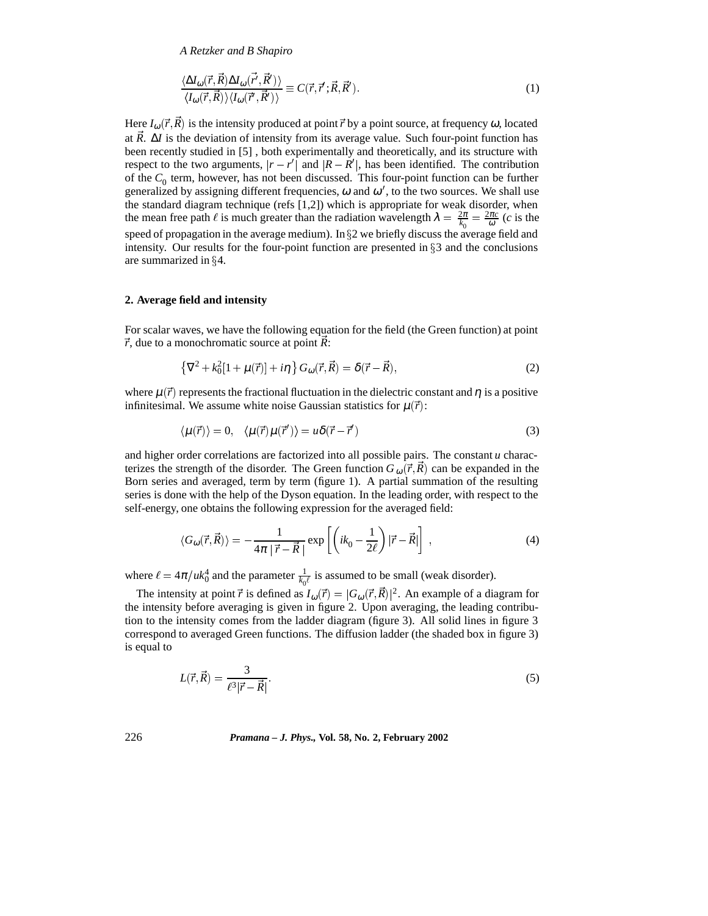*A Retzker and B Shapiro*

$$
\frac{\langle \Delta I_{\omega}(\vec{r}, \vec{R}) \Delta I_{\omega}(\vec{r}', \vec{R}') \rangle}{\langle I_{\omega}(\vec{r}, \vec{R}) \rangle \langle I_{\omega}(\vec{r}', \vec{R}') \rangle} \equiv C(\vec{r}, \vec{r}'; \vec{R}, \vec{R}'). \tag{1}
$$

Here  $I_{\omega}(\vec{r}, \vec{R})$  is the intensity produced at point  $\vec{r}$  by a point source, at frequency  $\omega$ , located at  $\bar{R}$ .  $\Delta I$  is the deviation of intensity from its average value. Such four-point function has been recently studied in [5] , both experimentally and theoretically, and its structure with respect to the two arguments,  $|r - r'|$  and  $|R - R'|$ , has been identified. The contribution of the  $C_0$  term, however, has not been discussed. This four-point function can be further generalized by assigning different frequencies,  $\omega$  and  $\omega'$ , to the two sources. We shall use the standard diagram technique (refs [1,2]) which is appropriate for weak disorder, when the mean free path  $\ell$  is much greater than the radiation wavelength  $\lambda = \frac{2\pi}{k_0} = \frac{2\pi c}{\omega}$  (*c* is the speed of propagation in the average medium). In  $\S2$  we briefly discuss the average field and intensity. Our results for the four-point function are presented in  $\S$ 3 and the conclusions are summarized in  $\S 4$ .

#### **2. Average field and intensity**

For scalar waves, we have the following equation for the field (the Green function) at point  $\vec{r}$ , due to a monochromatic source at point  $\vec{R}$ :

$$
\{\nabla^2 + k_0^2[1 + \mu(\vec{r})] + i\eta\} G_{\omega}(\vec{r}, \vec{R}) = \delta(\vec{r} - \vec{R}),
$$
\n(2)

where  $\mu(\vec{r})$  represents the fractional fluctuation in the dielectric constant and  $\eta$  is a positive infinitesimal. We assume white noise Gaussian statistics for  $\mu(\vec{r})$ :

$$
\langle \mu(\vec{r}) \rangle = 0, \quad \langle \mu(\vec{r}) \mu(\vec{r}') \rangle = u \delta(\vec{r} - \vec{r}')
$$
\n(3)

and higher order correlations are factorized into all possible pairs. The constant  $u$  characterizes the strength of the disorder. The Green function  $G_{\omega}(\vec{r}, \vec{R})$  can be expanded in the Born series and averaged, term by term (figure 1). A partial summation of the resulting series is done with the help of the Dyson equation. In the leading order, with respect to the self-energy, one obtains the following expression for the averaged field:

$$
\langle G_{\omega}(\vec{r}, \vec{R}) \rangle = -\frac{1}{4\pi |\vec{r} - \vec{R}|} \exp\left[ \left( ik_0 - \frac{1}{2\ell} \right) |\vec{r} - \vec{R}| \right], \tag{4}
$$

where  $\ell = 4\pi/u k_0^4$  and the parameter  $\frac{1}{k_0\ell}$  is assumed to be small (weak disorder).

The intensity at point  $\vec{r}$  is defined as  $I_{\omega}(\vec{r}) = |G_{\omega}(\vec{r}, \vec{R})|^2$ . An example of a diagram for the intensity before averaging is given in figure 2. Upon averaging, the leading contribution to the intensity comes from the ladder diagram (figure 3). All solid lines in figure 3 correspond to averaged Green functions. The diffusion ladder (the shaded box in figure 3) is equal to

$$
L(\vec{r}, \vec{R}) = \frac{3}{\ell^3 |\vec{r} - \vec{R}|}.
$$
\n<sup>(5)</sup>

#### 226 *Pramana – J. Phys.,* **Vol. 58, No. 2, February 2002**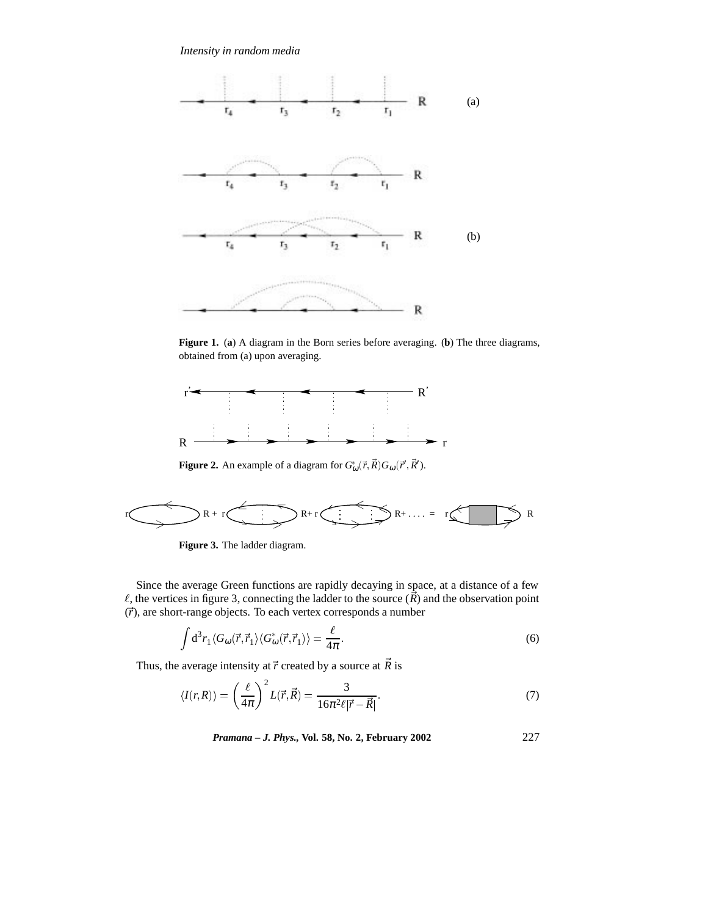*Intensity in random media*



**Figure 1.** (**a**) A diagram in the Born series before averaging. (**b**) The three diagrams, obtained from (a) upon averaging.



**Figure 2.** An example of a diagram for  $G^*_{\omega}(\vec{r}, \vec{R}) G_{\omega}(\vec{r}', \vec{R}')$ .



**Figure 3.** The ladder diagram.

Since the average Green functions are rapidly decaying in space, at a distance of a few  $\ell$ , the vertices in figure 3, connecting the ladder to the source  $(\vec{R})$  and the observation point  $(\vec{r})$ , are short-range objects. To each vertex corresponds a number

$$
\int d^3 r_1 \langle G_\omega(\vec{r}, \vec{r}_1) \langle G_\omega^*(\vec{r}, \vec{r}_1) \rangle = \frac{\ell}{4\pi}.
$$
 (6)

Thus, the average intensity at  $\vec{r}$  created by a source at  $\vec{R}$  is

$$
\langle I(r,R)\rangle = \left(\frac{\ell}{4\pi}\right)^2 L(\vec{r},\vec{R}) = \frac{3}{16\pi^2\ell|\vec{r}-\vec{R}|}.
$$
\n(7)

*Pramana – J. Phys.,* **Vol. 58, No. 2, February 2002** 227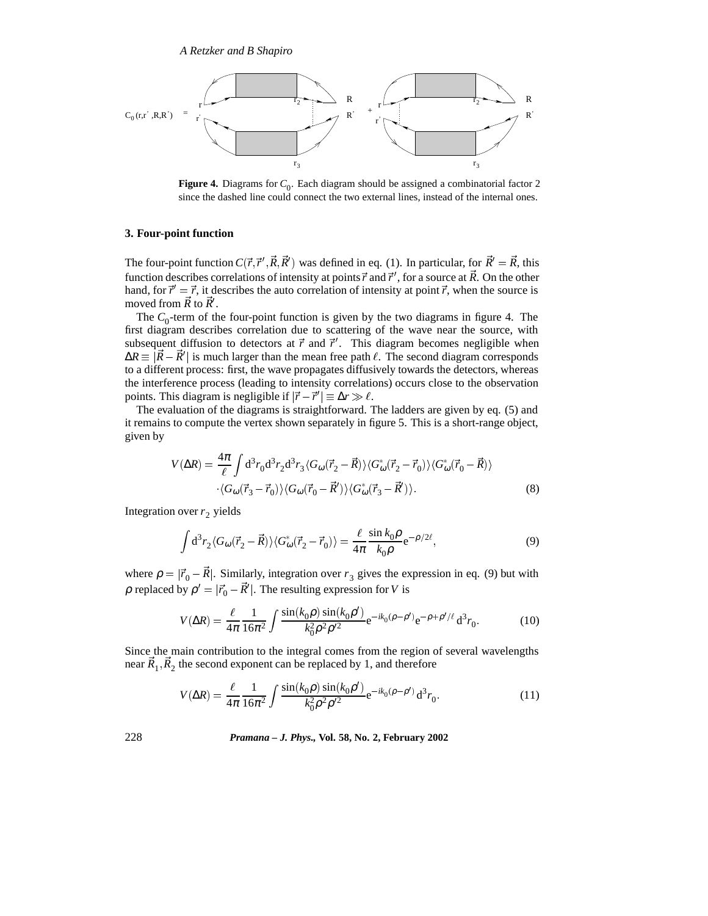

**Figure 4.** Diagrams for  $C_0$ . Each diagram should be assigned a combinatorial factor 2 since the dashed line could connect the two external lines, instead of the internal ones.

## **3. Four-point function**

The four-point function  $C(\vec{r}, \vec{r}', \vec{R}, \vec{R}')$  was defined in eq. (1). In particular, for  $\vec{R}' = \vec{R}$ , this function describes correlations of intensity at points  $\vec{r}$  and  $\vec{r}'$ , for a source at  $\vec{R}$ . On the other hand, for  $\vec{r}' = \vec{r}$ , it describes the auto correlation of intensity at point  $\vec{r}$ , when the source is moved from  $\vec{R}$  to  $\vec{R}$ <sup>'</sup>.

The  $C_0$ -term of the four-point function is given by the two diagrams in figure 4. The first diagram describes correlation due to scattering of the wave near the source, with subsequent diffusion to detectors at  $\vec{r}$  and  $\vec{r}'$ . This diagram becomes negligible when  $\Delta R \equiv |\vec{R} - \vec{R}'|$  is much larger than the mean free path  $\ell$ . The second diagram corresponds to a different process: first, the wave propagates diffusively towards the detectors, whereas the interference process (leading to intensity correlations) occurs close to the observation points. This diagram is negligible if  $|\vec{r} - \vec{r}'| \equiv \Delta r \gg l$ .

The evaluation of the diagrams is straightforward. The ladders are given by eq. (5) and it remains to compute the vertex shown separately in figure 5. This is a short-range object, given by

$$
V(\Delta R) = \frac{4\pi}{\ell} \int d^3 r_0 d^3 r_2 d^3 r_3 \langle G_{\omega}(\vec{r}_2 - \vec{R}) \rangle \langle G_{\omega}^*(\vec{r}_2 - \vec{r}_0) \rangle \langle G_{\omega}^*(\vec{r}_0 - \vec{R}) \rangle
$$
  
 
$$
\langle G_{\omega}(\vec{r}_3 - \vec{r}_0) \rangle \langle G_{\omega}(\vec{r}_0 - \vec{R}') \rangle \langle G_{\omega}^*(\vec{r}_3 - \vec{R}') \rangle.
$$
 (8)

Integration over  $r_2$  yields

$$
\int d^3 r_2 \langle G_\omega(\vec{r}_2 - \vec{R}) \rangle \langle G_\omega^*(\vec{r}_2 - \vec{r}_0) \rangle = \frac{\ell}{4\pi} \frac{\sin k_0 \rho}{k_0 \rho} e^{-\rho/2\ell},\tag{9}
$$

where  $\rho = |\vec{r}_0 - \vec{R}|$ . Similarly, integration over  $r_3$  gives the expression in eq. (9) but with  $\rho$  replaced by  $\rho' = |\vec{r}_0 - \vec{R}'|$ . The resulting expression for *V* is

$$
V(\Delta R) = \frac{\ell}{4\pi} \frac{1}{16\pi^2} \int \frac{\sin(k_0 \rho) \sin(k_0 \rho')}{k_0^2 \rho^2 \rho'^2} e^{-ik_0(\rho - \rho')} e^{-\rho + \rho'/\ell} d^3 r_0.
$$
 (10)

Since the main contribution to the integral comes from the region of several wavelengths near  $\vec{R}_1$ ,  $\vec{R}_2$  the second exponent can be replaced by 1, and therefore

$$
V(\Delta R) = \frac{\ell}{4\pi} \frac{1}{16\pi^2} \int \frac{\sin(k_0 \rho) \sin(k_0 \rho')}{k_0^2 \rho^2 \rho'^2} e^{-ik_0(\rho - \rho')} d^3 r_0.
$$
 (11)

228 *Pramana – J. Phys.,* **Vol. 58, No. 2, February 2002**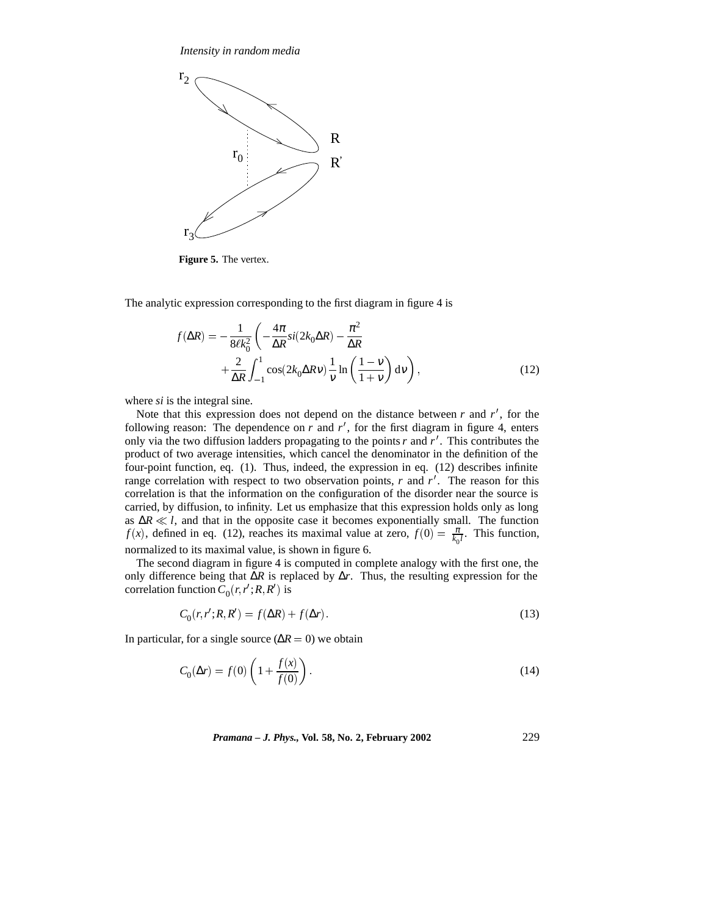*Intensity in random media*



**Figure 5.** The vertex.

The analytic expression corresponding to the first diagram in figure 4 is

$$
f(\Delta R) = -\frac{1}{8\ell k_0^2} \left( -\frac{4\pi}{\Delta R} si(2k_0 \Delta R) - \frac{\pi^2}{\Delta R} + \frac{2}{\Delta R} \int_{-1}^1 \cos(2k_0 \Delta R v) \frac{1}{v} \ln\left(\frac{1-v}{1+v}\right) dv \right),
$$
\n(12)

where *si* is the integral sine.

Note that this expression does not depend on the distance between  $r$  and  $r'$ , for the following reason: The dependence on  $r$  and  $r'$ , for the first diagram in figure 4, enters only via the two diffusion ladders propagating to the points  $r$  and  $r'$ . This contributes the product of two average intensities, which cancel the denominator in the definition of the four-point function, eq. (1). Thus, indeed, the expression in eq. (12) describes infinite range correlation with respect to two observation points,  $r$  and  $r'$ . The reason for this correlation is that the information on the configuration of the disorder near the source is carried, by diffusion, to infinity. Let us emphasize that this expression holds only as long as Δ*R*  $\ll$  *l*, and that in the opposite case it becomes exponentially small. The function *f*(*x*), defined in eq. (12), reaches its maximal value at zero,  $f(0) = \frac{\pi}{k_0 l}$ . This function, normalized to its maximal value, is shown in figure 6.

The second diagram in figure 4 is computed in complete analogy with the first one, the only difference being that ∆*R* is replaced by ∆*r*. Thus, the resulting expression for the correlation function  $C_0(r, r'; R, R')$  is

$$
C_0(r, r'; R, R') = f(\Delta R) + f(\Delta r). \tag{13}
$$

In particular, for a single source ( $\Delta R = 0$ ) we obtain

$$
C_0(\Delta r) = f(0) \left( 1 + \frac{f(x)}{f(0)} \right). \tag{14}
$$

*Pramana – J. Phys.,* **Vol. 58, No. 2, February 2002** 229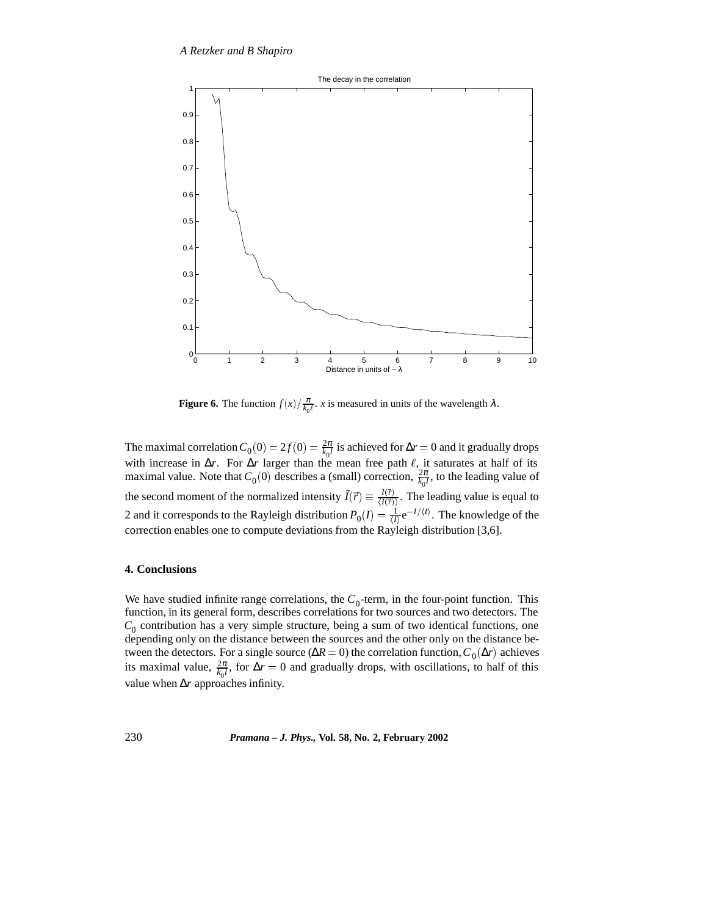

**Figure 6.** The function  $f(x)/\frac{\pi}{k_0 t}$ . *x* is measured in units of the wavelength  $\lambda$ .

The maximal correlation  $C_0(0) = 2f(0) = \frac{2\pi}{k_0 l}$  is achieved for  $\Delta r = 0$  and it gradually drops with increase in  $\Delta r$ . For  $\Delta r$  larger than the mean free path  $\ell$ , it saturates at half of its maximal value. Note that  $C_0(0)$  describes a (small) correction,  $\frac{2\pi}{k_0 l}$ , to the leading value of the second moment of the normalized intensity  $\tilde{I}(\vec{r}) \equiv \frac{I(\vec{r})}{I(\vec{r})}$ . The lea  $\frac{I(r)}{\langle I(\vec{r})\rangle}$ . The leading value is equal to 2 and it corresponds to the Rayleigh distribution  $P_0(I) = \frac{1}{\langle I \rangle} e^{-I/\langle I \rangle}$ . The knowledge of the correction enables one to compute deviations from the Rayleigh distribution [3,6].

#### **4. Conclusions**

We have studied infinite range correlations, the  $C_0$ -term, in the four-point function. This function, in its general form, describes correlations for two sources and two detectors. The  $C_0$  contribution has a very simple structure, being a sum of two identical functions, one depending only on the distance between the sources and the other only on the distance between the detectors. For a single source ( $\Delta R = 0$ ) the correlation function,  $C_0(\Delta r)$  achieves its maximal value,  $\frac{2\pi}{k_0 l}$ , for  $\Delta r = 0$  and gradually drops, with oscillations, to half of this value when ∆*r* approaches infinity.

# 230 *Pramana – J. Phys.,* **Vol. 58, No. 2, February 2002**